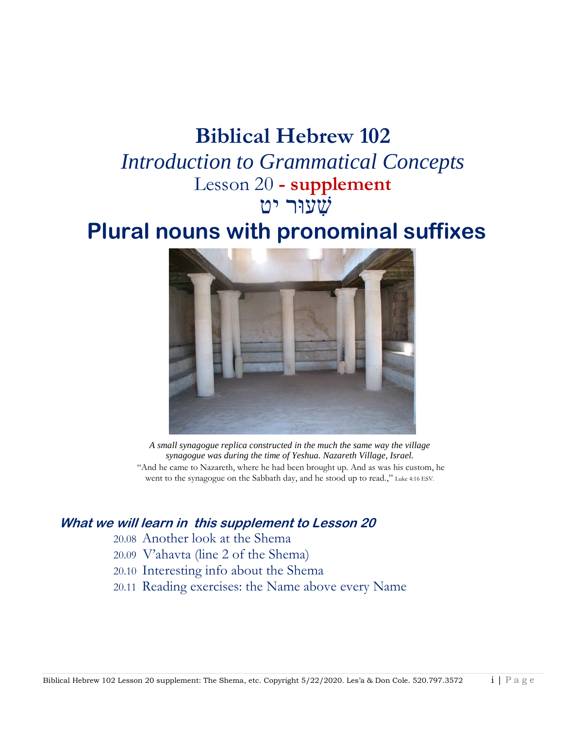# **Biblical Hebrew 102**

*Introduction to Grammatical Concepts* Lesson 20 **- supplement** שׁ ִעוּר יט

# **Plural nouns with pronominal suffixes**



*A small synagogue replica constructed in the much the same way the village synagogue was during the time of Yeshua. Nazareth Village, Israel.* "And he came to Nazareth, where he had been brought up. And as was his custom, he went to the synagogue on the Sabbath day, and he stood up to read.," Luke 4:16 ESV.

#### **What we will learn in this supplement to Lesson 20**

20.08 Another look at the Shema

- 20.09 V'ahavta (line 2 of the Shema)
- 20.10 Interesting info about the Shema
- 20.11 Reading exercises: the Name above every Name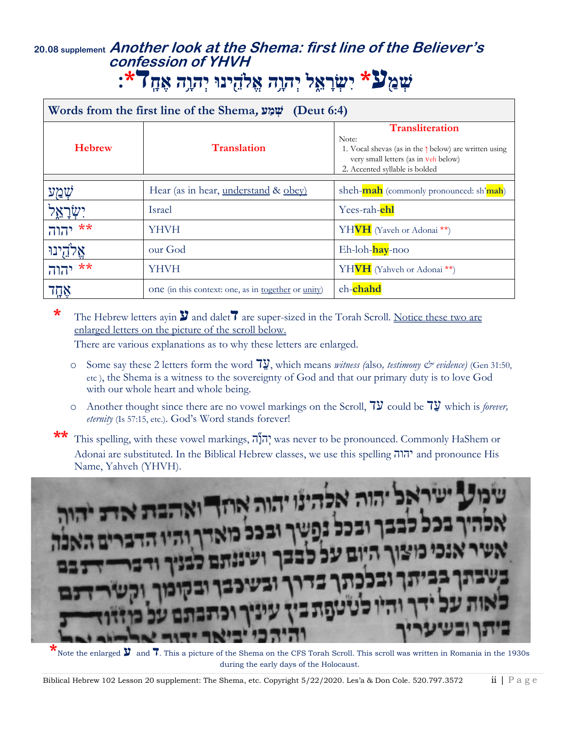# **20.08 supplement Another look at the Shema: first line of the Believer's confession of YHVH שְׁ מַ ע\* יִשְׁ רָ א ֵ֑ ל יְׁהוָ ָ֥ה אֱֹלה ינּו יְׁהוָ ָ֥ה אֶ חָ ד\*׃**

| Words from the first line of the Shema, שְׁמַע (Deut 6:4) |                                                            |                                                                                                                                                                    |  |
|-----------------------------------------------------------|------------------------------------------------------------|--------------------------------------------------------------------------------------------------------------------------------------------------------------------|--|
| <b>Hebrew</b>                                             | <b>Translation</b>                                         | <b>Transliteration</b><br>Note:<br>1. Vocal shevas (as in the 1 below) are written using<br>very small letters (as in veh below)<br>2. Accented syllable is bolded |  |
|                                                           | Hear (as in hear, understand & obey)                       | sheh-mah (commonly pronounced: sh'mah)                                                                                                                             |  |
|                                                           | <b>Israel</b>                                              | Yees-rah- <b>ehl</b>                                                                                                                                               |  |
| $***$<br>יהוה                                             | YHVH                                                       | YHVH (Yaveh or Adonai <sup>**</sup> )                                                                                                                              |  |
|                                                           | our God                                                    | Eh-loh-hay-noo                                                                                                                                                     |  |
| **<br>יהוה                                                | <b>YHVH</b>                                                | YHVH (Yahveh or Adonai <sup>**</sup> )                                                                                                                             |  |
| אֲחֲד                                                     | one (in this context: one, as in <u>together</u> or unity) | eh-chahd                                                                                                                                                           |  |

**\*** The Hebrew letters ayin **ע** and dalet**ד** are super-sized in the Torah Scroll. Notice these two are enlarged letters on the picture of the scroll below.

There are various explanations as to why these letters are enlarged.

- <sup>o</sup> Some say these 2 letters form the word ד ע, which means *witness (*also*, testimony & evidence)* (Gen 31:50, etc ), the Shema is a witness to the sovereignty of God and that our primary duty is to love God with our whole heart and whole being.
- o Another thought since there are no vowel markings on the Scroll,  $7\overline{y}$  could be  $7\overline{y}$  which is *forever*, *eternity* (Is 57:15, etc.). God's Word stands forever!

This spelling, with these vowel markings, הְנָה was never to be pronounced. Commonly HaShem or Adonai are substituted. In the Biblical Hebrew classes, we use this spelling יהוה and pronounce His Name, Yahveh (YHVH).



**\***Note the enlarged **V** and **7**. This a picture of the Shema on the CFS Torah Scroll. This scroll was written in Romania in the 1930s during the early days of the Holocaust.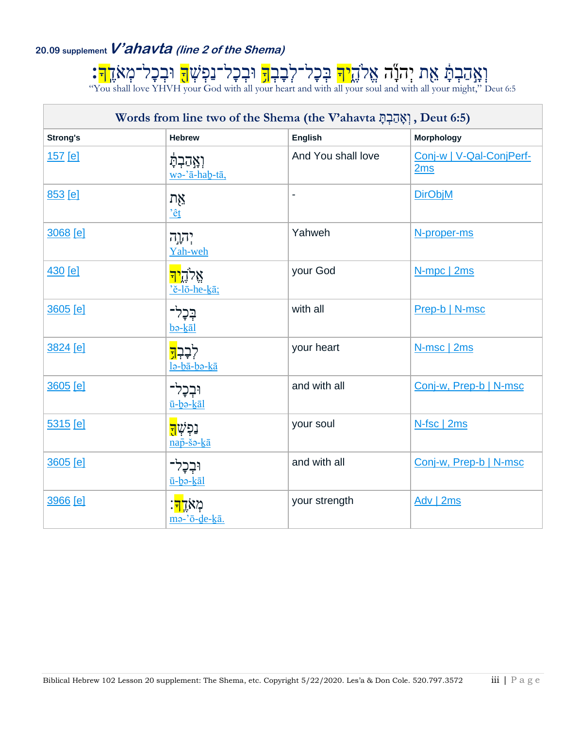# **20.09 supplementV'ahavta (line 2 of the Shema)**

וְאָהַבְתָּ אֵת יְהִנְג אֱלֹהֶ<mark>יּךְ</mark> בְּכָל־לְבָבְ<mark>ךָ</mark> וּבְכָל־נַפְּשָׁ<mark>ךָ</mark> וּבְכָל־מְאֹדֶ<mark>ךְ:</mark> "You shall love YHVH your God with all your heart and with all your soul and with all your might," Deut 6:5

| Words from line two of the Shema (the V'ahavta יְאֲהַבְהָּ), Deut 6:5) |                                                  |                    |                                 |
|------------------------------------------------------------------------|--------------------------------------------------|--------------------|---------------------------------|
| <b>Strong's</b>                                                        | <b>Hebrew</b>                                    | <b>English</b>     | <b>Morphology</b>               |
| 157 [e]                                                                | <b>וְאֲהַבְהָ</b><br>wo-'ā-hab-tā,               | And You shall love | Conj-w   V-Qal-ConjPerf-<br>2ms |
| 853 [e]                                                                | אָת<br>'êt                                       |                    | <b>DirObjM</b>                  |
| 3068 [e]                                                               | יְהוָה<br>Yah-weh                                | Yahweh             | N-proper-ms                     |
| 430 [e]                                                                | אֲלֹדֶ <mark>יך</mark><br>'ĕ-lō-he-kā;           | your God           | N-mpc   2ms                     |
| 3605 [e]                                                               | בָּכָרִ־<br>bə-kal                               | with all           | Prep-b   N-msc                  |
| 3824 [e]                                                               | לְבָבְ <mark>דָ</mark><br>lə-bā-bə-kā            | your heart         | N-msc   2ms                     |
| 3605 [e]                                                               | וּבְכָל־<br>ū-bə-kāl                             | and with all       | Conj-w, Prep-b   N-msc          |
| 5315 [e]                                                               | נַפְשָ <mark>ׁד</mark> ָ<br>$n a \bar{p}$ -šə-kā | your soul          | N-fsc   2ms                     |
| 3605 [e]                                                               | וּבְכָל<br>ū-bə-kāl                              | and with all       | Conj-w, Prep-b   N-msc          |
| 3966 [e]                                                               | ؘڎۭ؉ <u>ڗ<mark>ڐ</mark>؉</u><br>ma-'ō-de-kā.     | your strength      | Adv   2ms                       |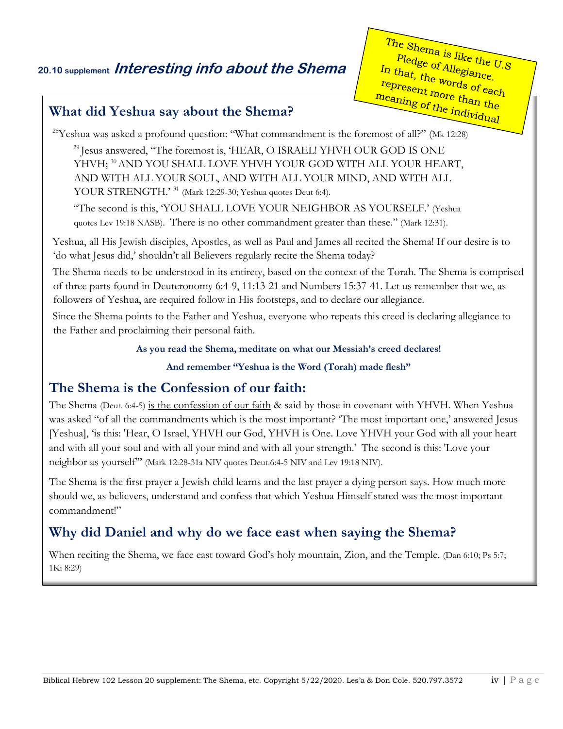## **20.10 supplement Interesting info about the Shema**

The Shema is like the U.S Pledge of Allegiance. In that, the words of each<br>represent mords of each<br>meaning the words of each<br>meaning represent more than the<br>neaning of the indian the meaning of the individual

#### **What did Yeshua say about the Shema?**

 $28$ Yeshua was asked a profound question: "What commandment is the foremost of all?" (Mk 12:28)

<sup>29</sup> Iesus answered, "The foremost is, 'HEAR, O ISRAEL! YHVH OUR GOD IS ONE YHVH; <sup>[30](http://biblehub.com/mark/12-30.htm)</sup> [A](http://biblehub.com/mark/12-30.htm)ND YOU SHALL LOVE YHVH YOUR GOD WITH ALL YOUR HEART, AND WITH ALL YOUR SOUL, AND WITH ALL YOUR MIND, AND WITH ALL YOUR STRENGTH.' <sup>[31](http://biblehub.com/mark/12-31.htm)</sup> [\(](http://biblehub.com/mark/12-31.htm)Mark 12:29-30; Yeshua quotes Deut 6:4).

"The second is this, 'YOU SHALL LOVE YOUR NEIGHBOR AS YOURSELF.' (Yeshua quotes Lev 19:18 NASB). There is no other commandment greater than these." (Mark 12:31).

Yeshua, all His Jewish disciples, Apostles, as well as Paul and James all recited the Shema! If our desire is to 'do what Jesus did,' shouldn't all Believers regularly recite the Shema today?

The Shema needs to be understood in its entirety, based on the context of the Torah. The Shema is comprised of three parts found in Deuteronomy 6:4-9, 11:13-21 and Numbers 15:37-41. Let us remember that we, as followers of Yeshua, are required follow in His footsteps, and to declare our allegiance.

Since the Shema points to the Father and Yeshua, everyone who repeats this creed is declaring allegiance to the Father and proclaiming their personal faith.

**As you read the Shema, meditate on what our Messiah's creed declares!**

**And remember "Yeshua is the Word (Torah) made flesh"** 

### **The Shema is the Confession of our faith:**

The Shema (Deut. 6:4-5) is the confession of our faith & said by those in covenant with YHVH. When Yeshua was asked "of all the commandments which is the most important? 'The most important one,' answered Jesus [Yeshua], 'is this: 'Hear, O Israel, YHVH our God, YHVH is One. Love YHVH your God with all your heart and with all your soul and with all your mind and with all your strength.' The second is this: 'Love your neighbor as yourself'" (Mark 12:28-31a NIV quotes Deut.6:4-5 NIV and Lev 19:18 NIV).

The Shema is the first prayer a Jewish child learns and the last prayer a dying person says. How much more should we, as believers, understand and confess that which Yeshua Himself stated was the most important commandment!"

## **Why did Daniel and why do we face east when saying the Shema?**

When reciting the Shema, we face east toward God's holy mountain, Zion, and the Temple. (Dan 6:10; Ps 5:7; 1Ki 8:29)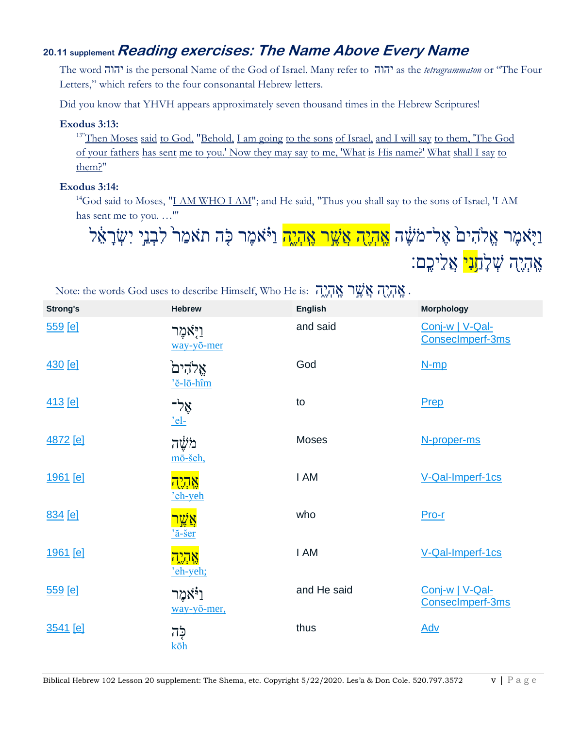### **20.11 supplement Reading exercises: The Name Above Every Name**

The word יהוה is the personal Name of the God of Israel. Many refer to ִיהוה as the *tetragrammaton* or "The Four Letters," which refers to the four consonantal Hebrew letters.

Did you know that YHVH appears approximately seven thousand times in the Hebrew Scriptures!

#### **Exodus 3:13:**

<sup>13"</sup>[Then Moses](http://biblehub.com/hebrew/4872.htm) [said](http://biblehub.com/hebrew/559.htm) [to God,](http://biblehub.com/hebrew/430.htm) ["Behold,](http://biblehub.com/hebrew/2009.htm) [I am going](http://biblehub.com/hebrew/935.htm) [to the sons](http://biblehub.com/hebrew/1121.htm) [of Israel,](http://biblehub.com/hebrew/3478.htm) [and I will say](http://biblehub.com/hebrew/559.htm) [to them, 'The God](http://biblehub.com/hebrew/430.htm) [of your fathers](http://biblehub.com/hebrew/1.htm) [has sent](http://biblehub.com/hebrew/7971.htm) [me to you.' Now they may say](http://biblehub.com/hebrew/559.htm) [to me, 'What](http://biblehub.com/hebrew/4100.htm) [is His name?'](http://biblehub.com/hebrew/8034.htm) [What](http://biblehub.com/hebrew/4100.htm) [shall I say](http://biblehub.com/hebrew/559.htm) [to](http://biblehub.com/strongs.htm)  [them?"](http://biblehub.com/strongs.htm)

#### **Exodus 3:14:**

<sup>14</sup>God said to Moses, "I AM WHO I AM"; and He said, "Thus you shall say to the sons of Israel, 'I AM has sent me to you. …'"

וַיָּאמֶר אֱלֹהִיםׂ אֶל־מֹשֶׁה <mark>אֱהְיֶה אֲשֶׁר אֱהְיֶה</mark> וַיֹּּאמֶר כָּה תֹּאמַר לִבְנֵי יִשְׂרָאֵ֫ל אֶהֶיֶה שָׁל<u>ָח**ָנִי** אֲלֵיכֵ</u>ם:

| <b>Strong's</b> | <b>Hebrew</b>                                      | <b>DATE 15</b><br>$2x - 1$ $2x + 1x$<br><b>English</b> | <b>Morphology</b>                   |
|-----------------|----------------------------------------------------|--------------------------------------------------------|-------------------------------------|
| 559 [e]         | וַיָּאמֶר<br>way-yō-mer                            | and said                                               | Conj-w   V-Qal-<br>ConsecImperf-3ms |
| 430 [e]         | אֵלהִים<br>'ĕ-lō-hîm                               | God                                                    | $N$ -mp                             |
| 413 [e]         | אָלִ-<br>$el-$                                     | to                                                     | Prep                                |
| 4872 [e]        | מֹשֶׁה<br>mō-šeh,                                  | Moses                                                  | N-proper-ms                         |
| 1961 [e]        | אַהְיָה<br>'eh-yeh                                 | I AM                                                   | V-Qal-Imperf-1cs                    |
| 834 [e]         | אֲשֱר<br>$\frac{a - \check{S}cr}{a - \check{S}cr}$ | who                                                    | Pro-r                               |
| <u>1961 [e]</u> | אֲהָיֶה<br>'eh-yeh;                                | I AM                                                   | V-Qal-Imperf-1cs                    |
| <u>559 [e]</u>  | וַיֹּאמֵר<br>way-yō-mer,                           | and He said                                            | Conj-w   V-Qal-<br>ConsecImperf-3ms |
| 3541 [e]        | ּכָּה<br>$k\bar{o}h$                               | thus                                                   | <b>Adv</b>                          |

אָהיה אָשֶׁר אָהָיָה (אֶתְיָה יָאָטִר ה יִם: Note: the words God uses to describe Himself, Who He is: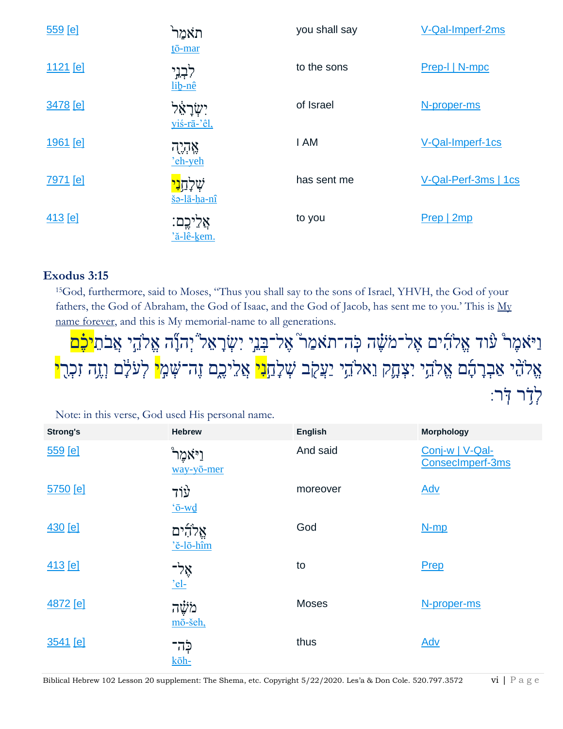| 559 [e]         | תאמר<br>$t\bar{o}$ -mar                                        | you shall say | V-Qal-Imperf-2ms     |
|-----------------|----------------------------------------------------------------|---------------|----------------------|
| 1121 [e]        | לִבְנֵי<br>lib-nê                                              | to the sons   | Prep-I   N-mpc       |
| 3478 [e]        | ישָרָאַי<br>yiś-rā-'êl,                                        | of Israel     | N-proper-ms          |
| <u>1961 [e]</u> | אָהְיֶה<br>'eh-yeh                                             | I AM          | V-Qal-Imperf-1cs     |
| 7971 [e]        | שִׁלַחַ <mark>נִי</mark><br>$\underline{\tilde{s}}$ ə-lā-ha-nî | has sent me   | V-Qal-Perf-3ms   1cs |
| 413 [e]         | אֲלֵיכֶם:<br>'ă-lê-kem.                                        | to you        | Prep   2mp           |

#### **Exodus 3:15**

[15](http://biblehub.com/exodus/3-15.htm)God, furthermore, said to Moses, "Thus you shall say to the sons of Israel, YHVH, the God of your fathers, the God of Abraham, the God of Isaac, and the God of Jacob, has sent me to you.' This is My name forever, and this is My memorial-name to all generations.

וַיֹּאמֶרْ עוֹד אֵלֹהִים אַל־מֹשֶׁה כְּה־תֹאמַר ׁאֶל־בְּנֵי יִשְׂרָאֵל יְהנְّה אֱלֹהֵי אֲבֹתֵ<mark>יכֶּ֫ם</mark> אֱלֹהֵ ׁי אַבְרָהָם אֱלֹהֵי יִצְהָקִ וֵאלֹהֵי יַעֲקֹב שְׁלָחַ<mark>נִי</mark> אֲלֵיכֶם זֶה־שָׁמְ<mark>י</mark> לְעֹלָם וְזֶה זִכְרִ<mark>י</mark> לִדְׁר דְּר׃

| <b>Strong's</b> | <b>Hebrew</b>                   | <b>English</b> | <b>Morphology</b>                   |
|-----------------|---------------------------------|----------------|-------------------------------------|
| 559 [e]         | <b>ֿ</b> וַיֹאמֵר<br>way-yō-mer | And said       | Conj-w   V-Qal-<br>ConsecImperf-3ms |
| 5750 [e]        | עוד<br>$o-wd$                   | moreover       | <b>Adv</b>                          |
| 430 [e]         | אֵלהִים<br>'ĕ-lō-hîm            | God            | $N-mp$                              |
| 413 [e]         | אָל-<br>$'el-$                  | to             | Prep                                |
| 4872 [e]        | מֹשֵׁה<br>mō-šeh,               | <b>Moses</b>   | N-proper-ms                         |
| 3541 [e]        | ּכָה־<br>kōh-                   | thus           | <b>Adv</b>                          |

Note: in this verse, God used His personal name.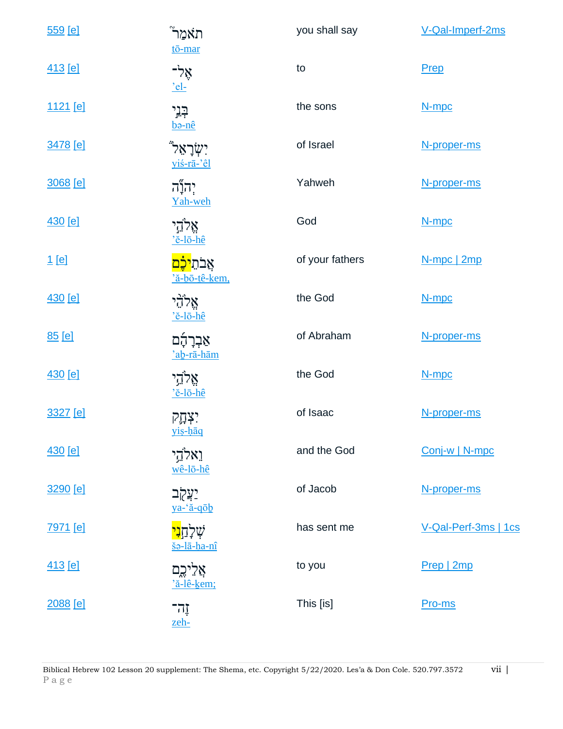| 559 [e]         | תֹאמַר<br>tō-mar                            | you shall say   | V-Qal-Imperf-2ms     |
|-----------------|---------------------------------------------|-----------------|----------------------|
| <u>413 [e]</u>  | אָל-<br>$el-$                               | to              | <b>Prep</b>          |
| <u>1121</u> [e] | הֲנֵי<br>b <sub>o-nê</sub>                  | the sons        | N-mpc                |
| 3478 [e]        | <b>יִשְׂרָאֵל</b><br>yiś-rā-'êl             | of Israel       | N-proper-ms          |
| 3068 [e]        | יְהוְיָ <del><sub>ה'</sub></del><br>Yah-weh | Yahweh          | N-proper-ms          |
| <u>430 [e]</u>  | אֱלֹהֵי<br>'ĕ-lō-hê                         | God             | N-mpc                |
| $1$ [e]         | <mark>אֲבֹתֵיכָם</mark><br>'ă-bō-tê-kem,    | of your fathers | N-mpc   2mp          |
| <u>430 [e]</u>  | אֲלְהָי<br>$'e$ -lō-hê                      | the God         | N-mpc                |
| 85 [e]          | אַבְרָהָָם<br>'ab-rā-hām                    | of Abraham      | N-proper-ms          |
| 430 [e]         | אֵלְדֵי<br>'ĕ-lō-hê                         | the God         | N-mpc                |
| 3327 [e]        | <b>ִצְהֶק</b><br>yis-haq                    | of Isaac        | N-proper-ms          |
| <u>430 [e]</u>  | וֵאלֹהֵי<br>wê-lō-hê                        | and the God     | Conj-w   N-mpc       |
| 3290 [e]        | <u>יַצְקָר</u><br>ya-'ă-qōb                 | of Jacob        | N-proper-ms          |
| 7971 [e]        | <mark>שָׁלָחָנִי</mark><br>šə-lā-ha-nî      | has sent me     | V-Qal-Perf-3ms   1cs |
| <u>413 [e]</u>  | אֲלִיכֶם<br>'ă-lê-kem;                      | to you          | Prep   2mp           |
| 2088 [e]        | זֶה־<br>zeh-                                | This [is]       | Pro-ms               |